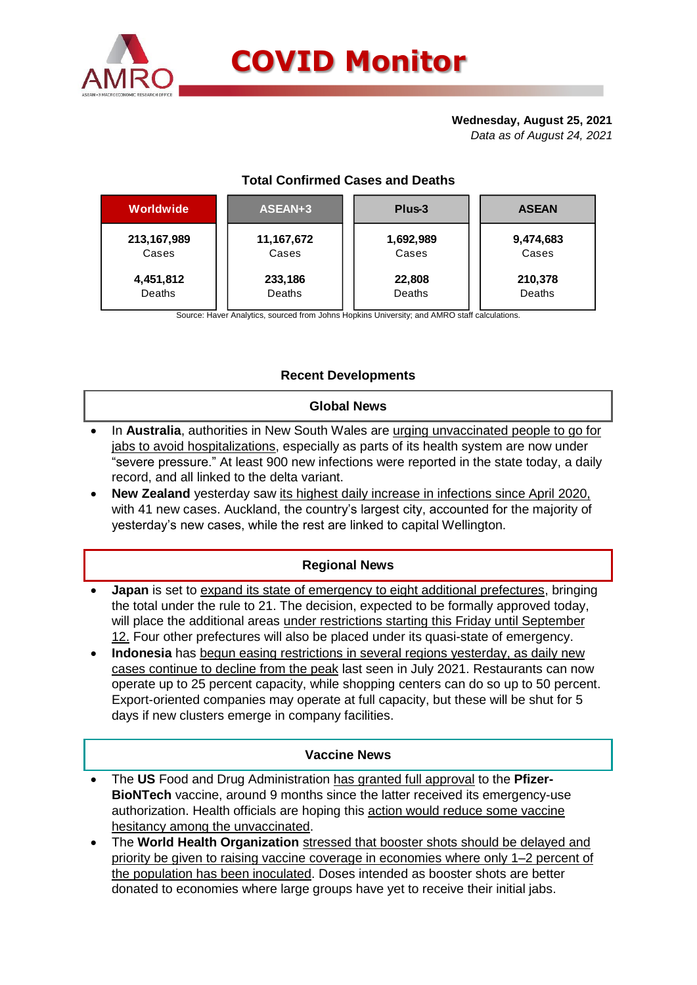

# **Wednesday, August 25, 2021**

*Data as of August 24, 2021*

| <b>Total Confirmed Cases and Deaths</b> |
|-----------------------------------------|
|                                         |

| Worldwide   | ASEAN+3    | Plus-3    | <b>ASEAN</b> |  |  |
|-------------|------------|-----------|--------------|--|--|
| 213,167,989 | 11,167,672 | 1,692,989 | 9,474,683    |  |  |
| Cases       | Cases      | Cases     | Cases        |  |  |
| 4,451,812   | 233,186    | 22,808    | 210,378      |  |  |
| Deaths      | Deaths     | Deaths    | Deaths       |  |  |

Source: Haver Analytics, sourced from Johns Hopkins University; and AMRO staff calculations.

# **Recent Developments**

#### **Global News**

- In **Australia**, authorities in New South Wales are urging unvaccinated people to go for jabs to avoid hospitalizations, especially as parts of its health system are now under "severe pressure." At least 900 new infections were reported in the state today, a daily record, and all linked to the delta variant.
- **New Zealand** yesterday saw its highest daily increase in infections since April 2020, with 41 new cases. Auckland, the country's largest city, accounted for the majority of yesterday's new cases, while the rest are linked to capital Wellington.

## **Regional News**

- **Japan** is set to expand its state of emergency to eight additional prefectures, bringing the total under the rule to 21. The decision, expected to be formally approved today, will place the additional areas under restrictions starting this Friday until September 12. Four other prefectures will also be placed under its quasi-state of emergency.
- **Indonesia** has begun easing restrictions in several regions yesterday, as daily new cases continue to decline from the peak last seen in July 2021. Restaurants can now operate up to 25 percent capacity, while shopping centers can do so up to 50 percent. Export-oriented companies may operate at full capacity, but these will be shut for 5 days if new clusters emerge in company facilities.

#### **Vaccine News**

- The **US** Food and Drug Administration has granted [full approval](https://asia.nikkei.com/Spotlight/Coronavirus/COVID-vaccines/US-regulators-give-full-approval-to-Pfizer-BioNTech-vaccine) to the **Pfizer-BioNTech** vaccine, around 9 months since the latter received its emergency-use authorization. Health officials are hoping this action would reduce some vaccine hesitancy among the unvaccinated.
- The **World Health Organization** stressed that booster shots should be delayed and priority be given to raising vaccine coverage in economies where only 1–2 percent of the population has been inoculated. Doses intended as booster shots are better donated to economies where large groups have yet to receive their initial jabs.